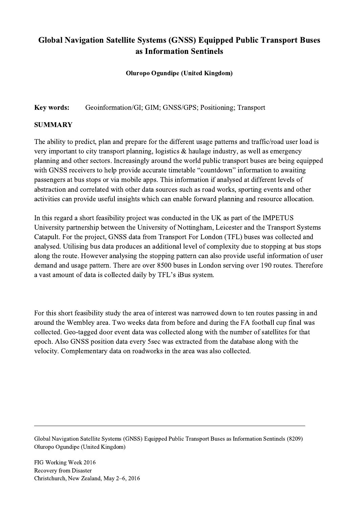## Global Navigation Satellite Systems (GNSS) Equipped Public Transport Buses as Information Sentinels

## Oluropo Ogundipe (United Kingdom)

Key words: Geoinformation/GI; GIM; GNSS/GPS; Positioning; Transport

## SUMMARY

The ability to predict, plan and prepare for the different usage patterns and traffic/road user load is very important to city transport planning, logistics & haulage industry, as well as emergency planning and other sectors. Increasingly around the world public transport buses are being equipped with GNSS receivers to help provide accurate timetable "countdown" information to awaiting passengers at bus stops or via mobile apps. This information if analysed at different levels of abstraction and correlated with other data sources such as road works, sporting events and other activities can provide useful insights which can enable forward planning and resource allocation.

In this regard a short feasibility project was conducted in the UK as part of the IMPETUS University partnership between the University of Nottingham, Leicester and the Transport Systems Catapult. For the project, GNSS data from Transport For London (TFL) buses was collected and analysed. Utilising bus data produces an additional level of complexity due to stopping at bus stops along the route. However analysing the stopping pattern can also provide useful information of user demand and usage pattern. There are over 8500 buses in London serving over 190 routes. Therefore a vast amount of data is collected daily by TFL's iBus system.

For this short feasibility study the area of interest was narrowed down to ten routes passing in and around the Wembley area. Two weeks data from before and during the FA football cup final was collected. Geo-tagged door event data was collected along with the number of satellites for that epoch. Also GNSS position data every 5sec was extracted from the database along with the velocity. Complementary data on roadworks in the area was also collected.

Global Navigation Satellite Systems (GNSS) Equipped Public Transport Buses as Information Sentinels (8209) Oluropo Ogundipe (United Kingdom)

 $\mathcal{L}_\mathcal{L} = \{ \mathcal{L}_\mathcal{L} = \{ \mathcal{L}_\mathcal{L} = \{ \mathcal{L}_\mathcal{L} = \{ \mathcal{L}_\mathcal{L} = \{ \mathcal{L}_\mathcal{L} = \{ \mathcal{L}_\mathcal{L} = \{ \mathcal{L}_\mathcal{L} = \{ \mathcal{L}_\mathcal{L} = \{ \mathcal{L}_\mathcal{L} = \{ \mathcal{L}_\mathcal{L} = \{ \mathcal{L}_\mathcal{L} = \{ \mathcal{L}_\mathcal{L} = \{ \mathcal{L}_\mathcal{L} = \{ \mathcal{L}_\mathcal{$ 

FIG Working Week 2016 Recovery from Disaster Christchurch, New Zealand, May 2–6, 2016